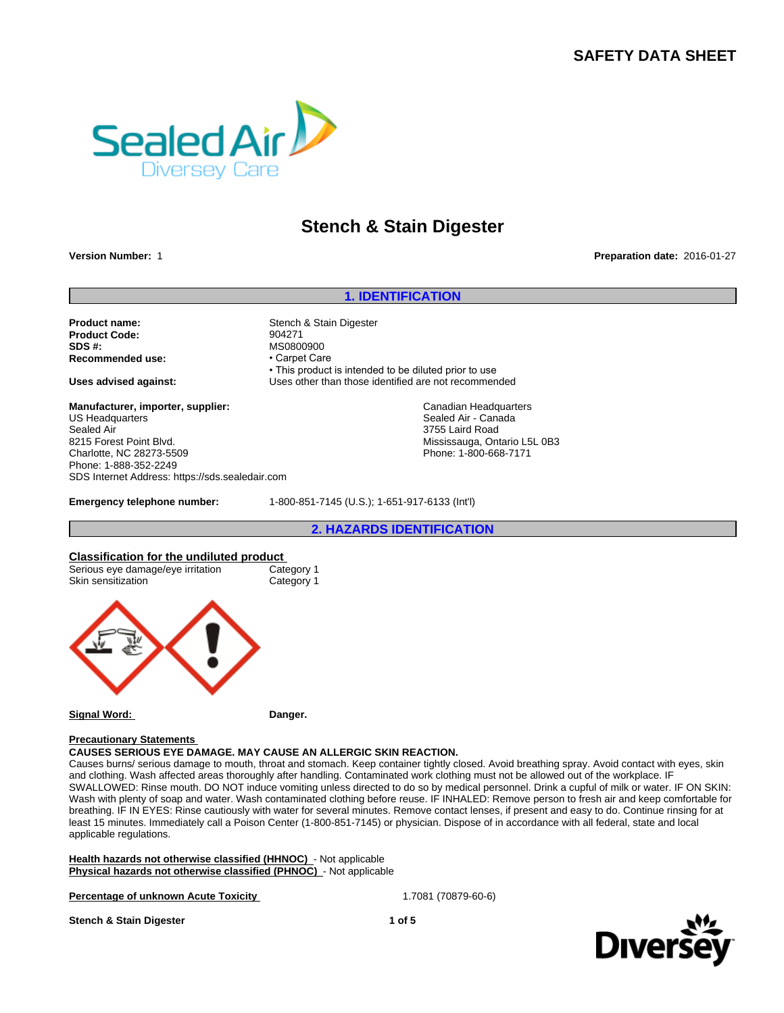## **SAFETY DATA SHEET**



# **Stench & Stain Digester**

**Version Number:** 1 **Preparation date:** 2016-01-27

#### **1. IDENTIFICATION**

**Product name:** Stench & Stain Digester **Product Code:** 904271 **SDS #:**<br> **Recommended use:**<br> **Recommended use:**<br> **Carpet Care Recommended use:** 

**Manufacturer, importer, supplier:** US Headquarters Sealed Air 8215 Forest Point Blvd. Charlotte, NC 28273-5509 Phone: 1-888-352-2249 SDS Internet Address: https://sds.sealedair.com

• This product is intended to be diluted prior to use **Uses advised against:** Uses other than those identified are not recommended

> Canadian Headquarters Sealed Air - Canada 3755 Laird Road Mississauga, Ontario L5L 0B3 Phone: 1-800-668-7171

**Emergency telephone number:** 1-800-851-7145 (U.S.); 1-651-917-6133 (Int'l)

**2. HAZARDS IDENTIFICATION**

#### **Classification for the undiluted product**

| Serious eye damage/eye irritation | Category 1 |
|-----------------------------------|------------|
| Skin sensitization                | Category 1 |



#### **Signal Word:** Danger.

#### **Precautionary Statements**

## **CAUSES SERIOUS EYE DAMAGE. MAY CAUSE AN ALLERGIC SKIN REACTION.**

Causes burns/ serious damage to mouth, throat and stomach. Keep container tightly closed. Avoid breathing spray. Avoid contact with eyes, skin and clothing. Wash affected areas thoroughly after handling. Contaminated work clothing must not be allowed out of the workplace. IF SWALLOWED: Rinse mouth. DO NOT induce vomiting unless directed to do so by medical personnel. Drink a cupful of milk or water. IF ON SKIN: Wash with plenty of soap and water. Wash contaminated clothing before reuse. IF INHALED: Remove person to fresh air and keep comfortable for breathing. IF IN EYES: Rinse cautiously with water for several minutes. Remove contact lenses, if present and easy to do. Continue rinsing for at least 15 minutes. Immediately call a Poison Center (1-800-851-7145) or physician. Dispose of in accordance with all federal, state and local applicable regulations.

**Health hazards not otherwise classified (HHNOC)** - Not applicable **Physical hazards not otherwise classified (PHNOC)** - Not applicable

**Percentage of unknown Acute Toxicity 1.7081 (70879-60-6)** 1.7081 (70879-60-6)



**Stench & Stain Digester 1 of 5**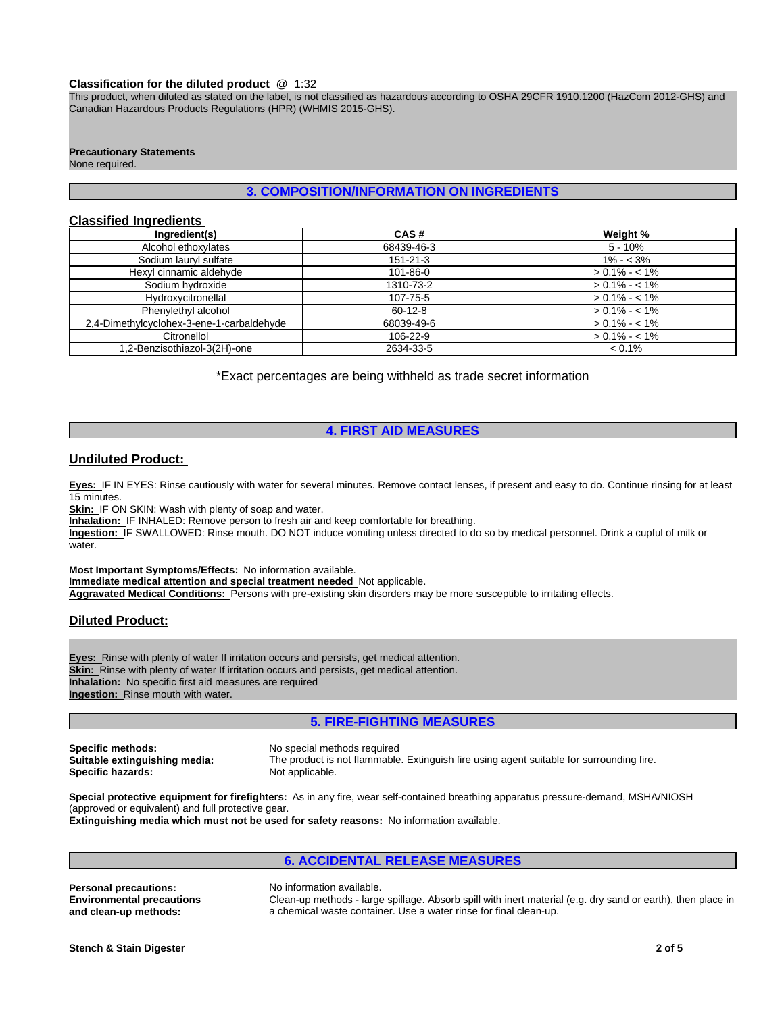#### **Classification for the diluted product** @ 1:32

This product, when diluted as stated on the label, is not classified as hazardous according to OSHA 29CFR 1910.1200 (HazCom 2012-GHS) and Canadian Hazardous Products Regulations (HPR) (WHMIS 2015-GHS).

#### **Precautionary Statements**

None required.

## **3. COMPOSITION/INFORMATION ON INGREDIENTS**

## **Classified Ingredients**

| Ingredient(s)                             | CAS#           | Weight %        |
|-------------------------------------------|----------------|-----------------|
| Alcohol ethoxylates                       | 68439-46-3     | $5 - 10%$       |
| Sodium lauryl sulfate                     | $151 - 21 - 3$ | $1\% - 3\%$     |
| Hexyl cinnamic aldehyde                   | $101 - 86 - 0$ | $> 0.1\% - 1\%$ |
| Sodium hydroxide                          | 1310-73-2      | $> 0.1\% - 1\%$ |
| Hydroxycitronellal                        | 107-75-5       | $> 0.1\% - 1\%$ |
| Phenylethyl alcohol                       | 60-12-8        | $> 0.1\% - 1\%$ |
| 2,4-Dimethylcyclohex-3-ene-1-carbaldehyde | 68039-49-6     | $> 0.1\% - 1\%$ |
| Citronellol                               | 106-22-9       | $> 0.1\% - 1\%$ |
| 1,2-Benzisothiazol-3(2H)-one              | 2634-33-5      | $< 0.1\%$       |

\*Exact percentages are being withheld as trade secret information

## **4. FIRST AID MEASURES**

#### **Undiluted Product:**

**Eyes:** IF IN EYES: Rinse cautiously with water for several minutes. Remove contact lenses, if present and easy to do. Continue rinsing for at least 15 minutes.

**Skin:** IF ON SKIN: Wash with plenty of soap and water.

**Inhalation:** IF INHALED: Remove person to fresh air and keep comfortable for breathing.

**Ingestion:** IF SWALLOWED: Rinse mouth. DO NOT induce vomiting unless directed to do so by medical personnel. Drink a cupful of milk or water.

**Most Important Symptoms/Effects:** No information available. **Immediate medical attention and special treatment needed** Not applicable. **Aggravated Medical Conditions:** Persons with pre-existing skin disorders may be more susceptible to irritating effects.

## **Diluted Product:**

**Eyes:** Rinse with plenty of water If irritation occurs and persists, get medical attention. **Skin:** Rinse with plenty of water If irritation occurs and persists, get medical attention. **Inhalation:** No specific first aid measures are required **Ingestion:** Rinse mouth with water.

## **5. FIRE-FIGHTING MEASURES**

**Specific methods:** No special methods required<br> **Suitable extinguishing media:** The product is not flammable **Specific hazards:** 

The product is not flammable. Extinguish fire using agent suitable for surrounding fire.<br>Not applicable.

**Special protective equipment for firefighters:** As in any fire, wear self-contained breathing apparatus pressure-demand, MSHA/NIOSH (approved or equivalent) and full protective gear. **Extinguishing media which must not be used for safety reasons:** No information available.

# **6. ACCIDENTAL RELEASE MEASURES**

**Personal precautions:** No information available. **Environmental precautions and clean-up methods:**

Clean-up methods - large spillage. Absorb spill with inert material (e.g. dry sand or earth), then place in a chemical waste container. Use a water rinse for final clean-up.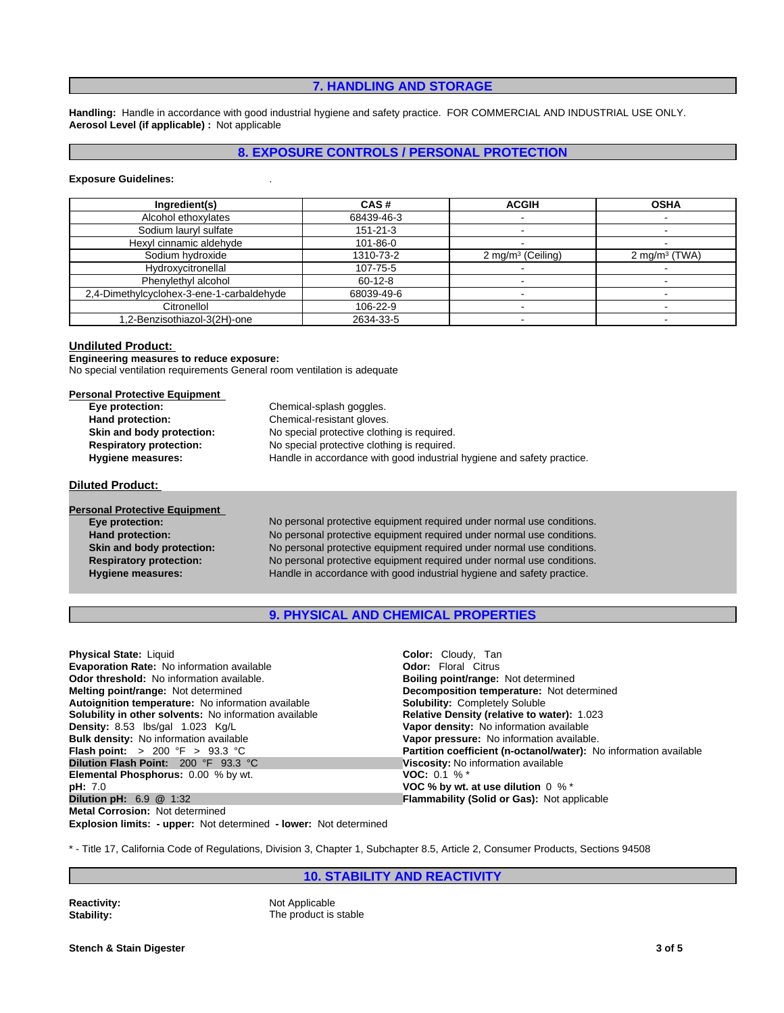## **7. HANDLING AND STORAGE**

**Handling:** Handle in accordance with good industrial hygiene and safety practice. FOR COMMERCIAL AND INDUSTRIAL USE ONLY. **Aerosol Level (if applicable) :** Not applicable

## **8. EXPOSURE CONTROLS / PERSONAL PROTECTION**

#### **Exposure Guidelines:** .

| Ingredient(s)                             | CAS#           | <b>ACGIH</b>         | <b>OSHA</b>      |
|-------------------------------------------|----------------|----------------------|------------------|
| Alcohol ethoxylates                       | 68439-46-3     |                      |                  |
| Sodium lauryl sulfate                     | $151 - 21 - 3$ |                      |                  |
| Hexyl cinnamic aldehyde                   | 101-86-0       |                      |                  |
| Sodium hydroxide                          | 1310-73-2      | 2 mg/m $3$ (Ceiling) | 2 mg/m $3$ (TWA) |
| Hydroxycitronellal                        | 107-75-5       |                      |                  |
| Phenylethyl alcohol                       | $60 - 12 - 8$  |                      |                  |
| 2,4-Dimethylcyclohex-3-ene-1-carbaldehyde | 68039-49-6     |                      |                  |
| Citronellol                               | 106-22-9       |                      |                  |
| 1,2-Benzisothiazol-3(2H)-one              | 2634-33-5      |                      |                  |

## **Undiluted Product:**

**Engineering measures to reduce exposure:** No special ventilation requirements General room ventilation is adequate

| <b>Personal Protective Equipment</b> |                                                                        |
|--------------------------------------|------------------------------------------------------------------------|
| Eye protection:                      | Chemical-splash goggles.                                               |
| Hand protection:                     | Chemical-resistant gloves.                                             |
| Skin and body protection:            | No special protective clothing is required.                            |
| <b>Respiratory protection:</b>       | No special protective clothing is required.                            |
| <b>Hygiene measures:</b>             | Handle in accordance with good industrial hygiene and safety practice. |

**Diluted Product:**

| <b>Personal Protective Equipment</b> |                            |
|--------------------------------------|----------------------------|
| Eye protection:                      | No personal protective equ |
| <b>Hand protection:</b>              | No personal protective equ |
| Skin and body protection:            | No personal protective equ |
| <b>Respiratory protection:</b>       | No personal protective equ |
| <b>Hygiene measures:</b>             | Handle in accordance with  |
|                                      |                            |

**Eye protection:** No personal protective equipment required under normal use conditions. **Hand protection:** No personal protective equipment required under normal use conditions. **Skin and body protection:** No personal protective equipment required under normal use conditions. **Respiratory protection:** No personal protective equipment required under normal use conditions. good industrial hygiene and safety practice.

## **9. PHYSICAL AND CHEMICAL PROPERTIES**

| <b>Physical State: Liquid</b>                                | Color: Cloudy, Tan                                                |
|--------------------------------------------------------------|-------------------------------------------------------------------|
| <b>Evaporation Rate:</b> No information available            | <b>Odor:</b> Floral Citrus                                        |
| <b>Odor threshold:</b> No information available.             | <b>Boiling point/range: Not determined</b>                        |
| Melting point/range: Not determined                          | Decomposition temperature: Not determined                         |
| Autoignition temperature: No information available           | <b>Solubility: Completely Soluble</b>                             |
| Solubility in other solvents: No information available       | Relative Density (relative to water): 1.023                       |
| Density: 8.53 lbs/gal 1.023 Kg/L                             | Vapor density: No information available                           |
| <b>Bulk density:</b> No information available                | Vapor pressure: No information available.                         |
| <b>Flash point:</b> $> 200 \, \text{°F} > 93.3 \, \text{°C}$ | Partition coefficient (n-octanol/water): No information available |
| <b>Dilution Flash Point: 200 °F 93.3 °C</b>                  | Viscosity: No information available                               |
| <b>Elemental Phosphorus: 0.00 % by wt.</b>                   | <b>VOC:</b> 0.1 % $*$                                             |
| <b>pH:</b> 7.0                                               | VOC % by wt. at use dilution $0 \%$ *                             |
| <b>Dilution pH:</b> $6.9$ @ 1:32                             | <b>Flammability (Solid or Gas): Not applicable</b>                |
| <b>Metal Corrosion: Not determined</b>                       |                                                                   |

**Explosion limits: - upper:** Not determined **- lower:** Not determined

\* - Title 17, California Code of Regulations, Division 3, Chapter 1, Subchapter 8.5, Article 2, Consumer Products, Sections 94508

## **10. STABILITY AND REACTIVITY**

**Reactivity:** Not Applicable<br> **Stability:** The product is The product is stable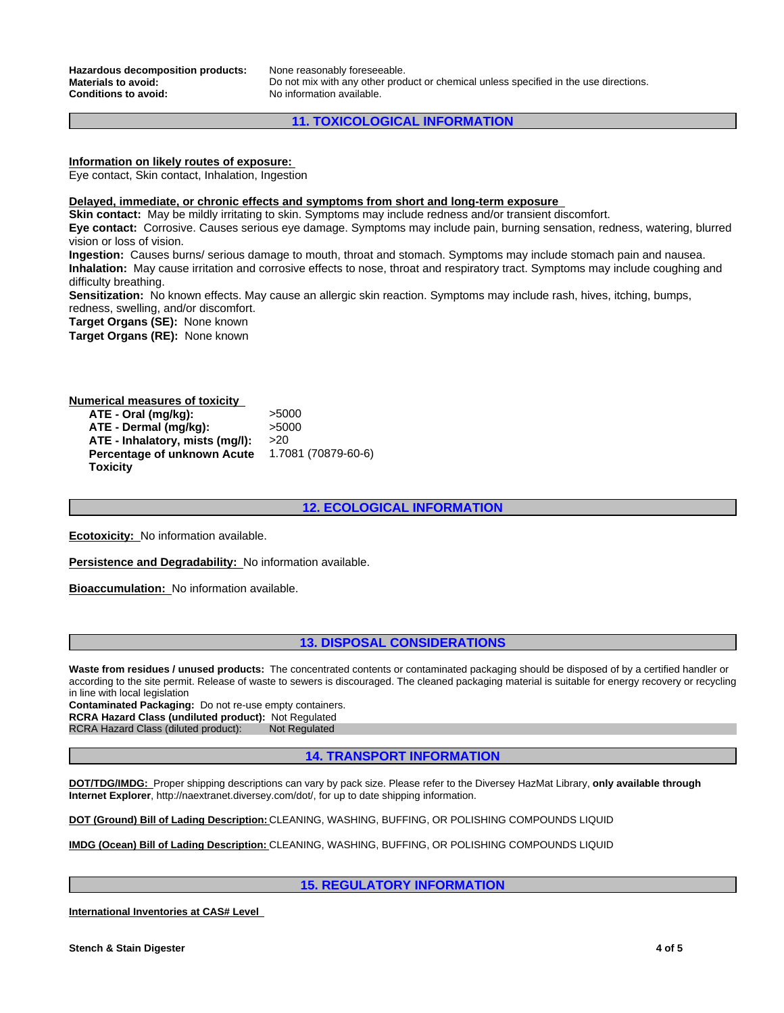**Hazardous decomposition products:** None reasonably foreseeable.<br>**Materials to avoid:** Do not mix with any other proc **Conditions to avoid:** No information available.

Do not mix with any other product or chemical unless specified in the use directions.

## **11. TOXICOLOGICAL INFORMATION**

## **Information on likely routes of exposure:**

Eye contact, Skin contact, Inhalation, Ingestion

**Delayed, immediate, or chronic effects and symptoms from short and long-term exposure**

**Skin contact:** May be mildly irritating to skin. Symptoms may include redness and/or transient discomfort. **Eye contact:** Corrosive. Causes serious eye damage. Symptoms may include pain, burning sensation, redness, watering, blurred vision or loss of vision.

**Ingestion:** Causes burns/ serious damage to mouth, throat and stomach. Symptoms may include stomach pain and nausea. **Inhalation:** May cause irritation and corrosive effects to nose, throat and respiratory tract. Symptoms may include coughing and difficulty breathing.

**Sensitization:** No known effects. May cause an allergic skin reaction. Symptoms may include rash, hives, itching, bumps, redness, swelling, and/or discomfort.

**Target Organs (SE):** None known

**Target Organs (RE):** None known

#### **Numerical measures of toxicity ATE - Oral (mg/kg):** >5000 **ATE - Dermal (mg/kg):** >5000 **ATE - Inhalatory, mists (mg/l):** >20 **Percentage of unknown Acute Toxicity** 1.7081 (70879-60-6)

**12. ECOLOGICAL INFORMATION**

**Ecotoxicity:** No information available.

**Persistence and Degradability:** No information available.

**Bioaccumulation:** No information available.

#### **13. DISPOSAL CONSIDERATIONS**

**Waste from residues / unused products:** The concentrated contents or contaminated packaging should be disposed of by a certified handler or according to the site permit. Release of waste to sewers is discouraged. The cleaned packaging material is suitable for energy recovery or recycling in line with local legislation

**Contaminated Packaging:** Do not re-use empty containers. **RCRA Hazard Class (undiluted product):** Not Regulated

RCRA Hazard Class (diluted product): Not Regulated

**14. TRANSPORT INFORMATION**

**DOT/TDG/IMDG:** Proper shipping descriptions can vary by pack size. Please refer to the Diversey HazMat Library, **only available through Internet Explorer**, http://naextranet.diversey.com/dot/, for up to date shipping information.

**DOT (Ground) Bill of Lading Description:** CLEANING, WASHING, BUFFING, OR POLISHING COMPOUNDS LIQUID

**IMDG (Ocean) Bill of Lading Description:** CLEANING, WASHING, BUFFING, OR POLISHING COMPOUNDS LIQUID

**15. REGULATORY INFORMATION**

**International Inventories at CAS# Level**